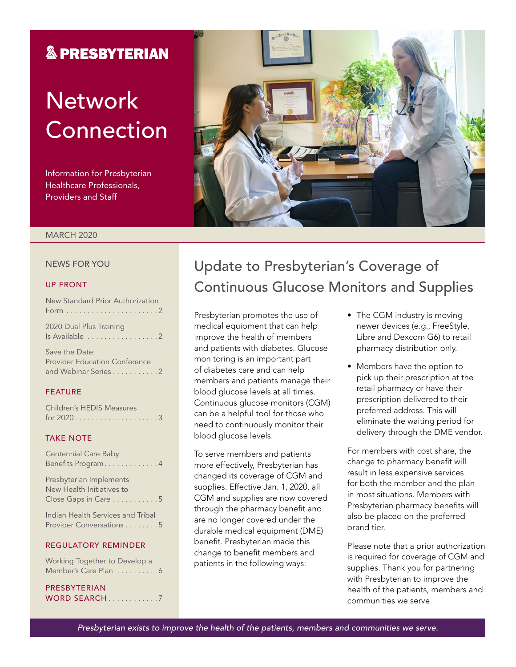### **& PRESBYTERIAN**

# **Network** Connection

Information for Presbyterian Healthcare Professionals, Providers and Staff



#### MARCH 2020

#### NEWS FOR YOU

#### UP FRONT

| New Standard Prior Authorization          |  |
|-------------------------------------------|--|
| 2020 Dual Plus Training<br>Is Available 2 |  |

Save the Date: Provider Education Conference and Webinar Series . . . . . . . . . . 2

#### FEATURE

| <b>Children's HEDIS Measures</b> |  |  |  |  |  |  |  |  |  |  |  |
|----------------------------------|--|--|--|--|--|--|--|--|--|--|--|
| for $2020$ 3                     |  |  |  |  |  |  |  |  |  |  |  |

### TAKE NOTE

| Centennial Care Baby<br>Benefits Program4                                    |  |
|------------------------------------------------------------------------------|--|
| Presbyterian Implements<br>New Health Initiatives to<br>Close Gaps in Care 5 |  |
| Indian Health Services and Tribal<br>Provider Conversations 5                |  |
| <b>REGULATORY REMINDER</b>                                                   |  |
| Working Together to Develop a<br>Member's Care Plan 6                        |  |

### PRESBYTERIAN WORD SEARCH . . . . . . . . . . . 7

### Update to Presbyterian's Coverage of Continuous Glucose Monitors and Supplies

Presbyterian promotes the use of medical equipment that can help improve the health of members and patients with diabetes. Glucose monitoring is an important part of diabetes care and can help members and patients manage their blood glucose levels at all times. Continuous glucose monitors (CGM) can be a helpful tool for those who need to continuously monitor their blood glucose levels.

To serve members and patients more effectively, Presbyterian has changed its coverage of CGM and supplies. Effective Jan. 1, 2020, all CGM and supplies are now covered through the pharmacy benefit and are no longer covered under the durable medical equipment (DME) benefit. Presbyterian made this change to benefit members and patients in the following ways:

- The CGM industry is moving newer devices (e.g., FreeStyle, Libre and Dexcom G6) to retail pharmacy distribution only.
- Members have the option to pick up their prescription at the retail pharmacy or have their prescription delivered to their preferred address. This will eliminate the waiting period for delivery through the DME vendor.

For members with cost share, the change to pharmacy benefit will result in less expensive services for both the member and the plan in most situations. Members with Presbyterian pharmacy benefits will also be placed on the preferred brand tier.

Please note that a prior authorization is required for coverage of CGM and supplies. Thank you for partnering with Presbyterian to improve the health of the patients, members and communities we serve.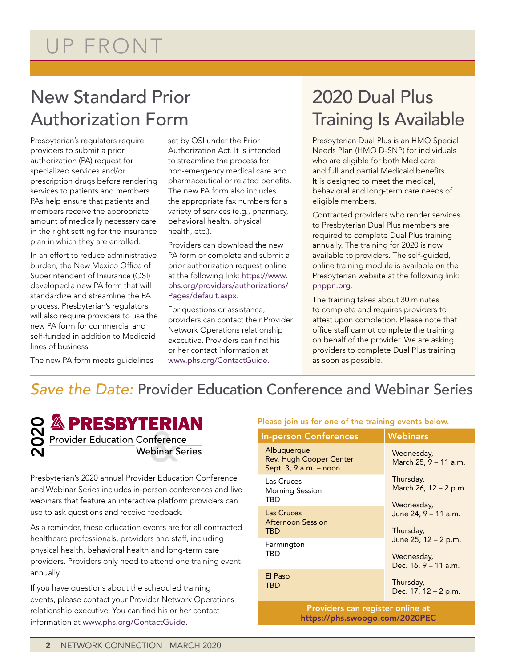# UP FRONT

## New Standard Prior Authorization Form

Presbyterian's regulators require providers to submit a prior authorization (PA) request for specialized services and/or prescription drugs before rendering services to patients and members. PAs help ensure that patients and members receive the appropriate amount of medically necessary care in the right setting for the insurance plan in which they are enrolled.

In an effort to reduce administrative burden, the New Mexico Office of Superintendent of Insurance (OSI) developed a new PA form that will standardize and streamline the PA process. Presbyterian's regulators will also require providers to use the new PA form for commercial and self-funded in addition to Medicaid lines of business.

The new PA form meets guidelines

set by OSI under the Prior Authorization Act. It is intended to streamline the process for non-emergency medical care and pharmaceutical or related benefits. The new PA form also includes the appropriate fax numbers for a variety of services (e.g., pharmacy, behavioral health, physical health, etc.).

Providers can download the new PA form or complete and submit a prior authorization request online at the following link: [https://www.](https://www.phs.org/providers/authorizations/Pages/default.aspx) [phs.org/providers/authorizations/](https://www.phs.org/providers/authorizations/Pages/default.aspx) [Pages/default.aspx.](https://www.phs.org/providers/authorizations/Pages/default.aspx)

For questions or assistance, providers can contact their Provider Network Operations relationship executive. Providers can find his or her contact information at [www.phs.org/ContactGuide](http://www.phs.org/ContactGuide).

# 2020 Dual Plus Training Is Available

Presbyterian Dual Plus is an HMO Special Needs Plan (HMO D-SNP) for individuals who are eligible for both Medicare and full and partial Medicaid benefits. It is designed to meet the medical, behavioral and long-term care needs of eligible members.

Contracted providers who render services to Presbyterian Dual Plus members are required to complete Dual Plus training annually. The training for 2020 is now available to providers. The self-guided, online training module is available on the Presbyterian website at the following link: [phppn.org](file:///\\Pacfile9\groups\Fluent%20Provider%20Network\Communications\Newsletters\Presbyterian\2020\January\phppn.org).

The training takes about 30 minutes to complete and requires providers to attest upon completion. Please note that office staff cannot complete the training on behalf of the provider. We are asking providers to complete Dual Plus training as soon as possible.

### *Save the Date:* Provider Education Conference and Webinar Series



Presbyterian's 2020 annual Provider Education Conference and Webinar Series includes in-person conferences and live webinars that feature an interactive platform providers can use to ask questions and receive feedback.

As a reminder, these education events are for all contracted healthcare professionals, providers and staff, including physical health, behavioral health and long-term care providers. Providers only need to attend one training event annually. **EXPRESBYTERIAN**<br> **EXPRESBYTERIAN**<br> **Provider Education Conference**<br> **Webinar Series**<br>
Presbyterian's 2020 annual Provider Education Co<br>
and Webinar Series includes in-person conference<br>
webinars that feature an interactiv

If you have questions about the scheduled training events, please contact your Provider Network Operations relationship executive. You can find his or her contact

### Please join us for one of the training events below.

| <b>In-person Conferences</b>                                            | <b>Webinars</b>                                            |  |  |  |  |  |  |
|-------------------------------------------------------------------------|------------------------------------------------------------|--|--|--|--|--|--|
| Albuquerque<br><b>Rev. Hugh Cooper Center</b><br>Sept. 3, 9 a.m. - noon | Wednesday,<br>March 25, 9 - 11 a.m.                        |  |  |  |  |  |  |
| Las Cruces<br><b>Morning Session</b><br>TBD                             | Thursday,<br>March 26, 12 - 2 p.m.<br>Wednesday,           |  |  |  |  |  |  |
| Las Cruces<br><b>Afternoon Session</b><br>TBD                           | June 24, 9 - 11 a.m.<br>Thursday,                          |  |  |  |  |  |  |
| Farmington<br>TBD                                                       | June 25, 12 – 2 p.m.<br>Wednesday,<br>Dec. 16, 9 - 11 a.m. |  |  |  |  |  |  |
| El Paso<br>TBD                                                          | Thursday,<br>Dec. 17, 12 – 2 p.m.                          |  |  |  |  |  |  |
| Providers can register online at                                        |                                                            |  |  |  |  |  |  |

Providers can register online at <https://phs.swoogo.com/2020PEC>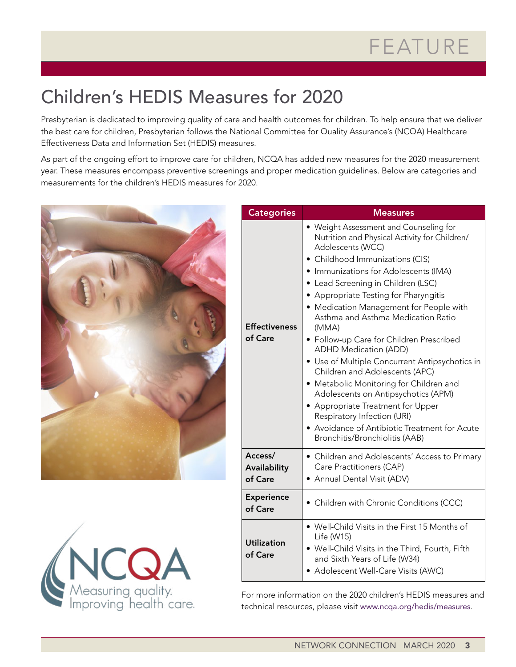# Children's HEDIS Measures for 2020

Presbyterian is dedicated to improving quality of care and health outcomes for children. To help ensure that we deliver the best care for children, Presbyterian follows the National Committee for Quality Assurance's (NCQA) Healthcare Effectiveness Data and Information Set (HEDIS) measures.

As part of the ongoing effort to improve care for children, NCQA has added new measures for the 2020 measurement year. These measures encompass preventive screenings and proper medication guidelines. Below are categories and measurements for the children's HEDIS measures for 2020.





| <b>Categories</b>                  | <b>Measures</b>                                                                                                                                                                                                                                                                                                                                                                                                                                                                                                                                                                                                                                                                                                                                                          |
|------------------------------------|--------------------------------------------------------------------------------------------------------------------------------------------------------------------------------------------------------------------------------------------------------------------------------------------------------------------------------------------------------------------------------------------------------------------------------------------------------------------------------------------------------------------------------------------------------------------------------------------------------------------------------------------------------------------------------------------------------------------------------------------------------------------------|
| <b>Effectiveness</b><br>of Care    | • Weight Assessment and Counseling for<br>Nutrition and Physical Activity for Children/<br>Adolescents (WCC)<br>• Childhood Immunizations (CIS)<br>• Immunizations for Adolescents (IMA)<br>• Lead Screening in Children (LSC)<br>• Appropriate Testing for Pharyngitis<br>• Medication Management for People with<br>Asthma and Asthma Medication Ratio<br>(MMA)<br>• Follow-up Care for Children Prescribed<br><b>ADHD Medication (ADD)</b><br>• Use of Multiple Concurrent Antipsychotics in<br>Children and Adolescents (APC)<br>• Metabolic Monitoring for Children and<br>Adolescents on Antipsychotics (APM)<br>• Appropriate Treatment for Upper<br>Respiratory Infection (URI)<br>Avoidance of Antibiotic Treatment for Acute<br>Bronchitis/Bronchiolitis (AAB) |
| Access/<br>Availability<br>of Care | • Children and Adolescents' Access to Primary<br>Care Practitioners (CAP)<br>• Annual Dental Visit (ADV)                                                                                                                                                                                                                                                                                                                                                                                                                                                                                                                                                                                                                                                                 |
| <b>Experience</b><br>of Care       | • Children with Chronic Conditions (CCC)                                                                                                                                                                                                                                                                                                                                                                                                                                                                                                                                                                                                                                                                                                                                 |
| <b>Utilization</b><br>of Care      | • Well-Child Visits in the First 15 Months of<br>Life (W15)<br>. Well-Child Visits in the Third, Fourth, Fifth<br>and Sixth Years of Life (W34)<br>• Adolescent Well-Care Visits (AWC)                                                                                                                                                                                                                                                                                                                                                                                                                                                                                                                                                                                   |

For more information on the 2020 children's HEDIS measures and technical resources, please visit [www.ncqa.org/hedis/measures](http://www.ncqa.org/hedis/measures).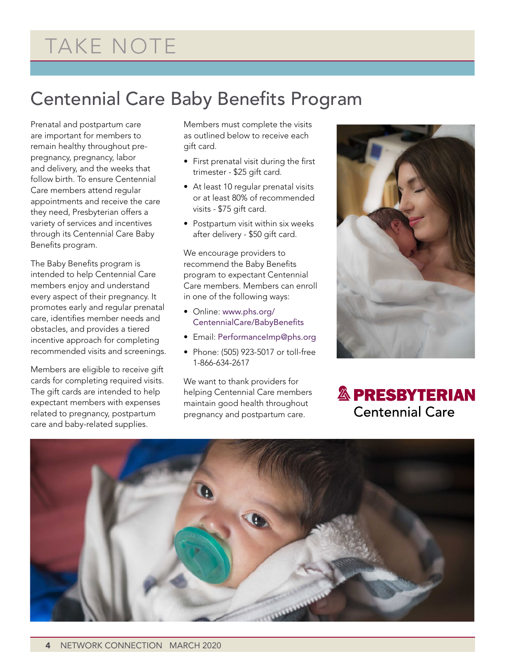# TAKE NOTE

## Centennial Care Baby Benefits Program

Prenatal and postpartum care are important for members to remain healthy throughout prepregnancy, pregnancy, labor and delivery, and the weeks that follow birth. To ensure Centennial Care members attend regular appointments and receive the care they need, Presbyterian offers a variety of services and incentives through its Centennial Care Baby Benefits program.

The Baby Benefits program is intended to help Centennial Care members enjoy and understand every aspect of their pregnancy. It promotes early and regular prenatal care, identifies member needs and obstacles, and provides a tiered incentive approach for completing recommended visits and screenings.

Members are eligible to receive gift cards for completing required visits. The gift cards are intended to help expectant members with expenses related to pregnancy, postpartum care and baby-related supplies.

Members must complete the visits as outlined below to receive each gift card.

- First prenatal visit during the first trimester - \$25 gift card.
- At least 10 regular prenatal visits or at least 80% of recommended visits - \$75 gift card.
- Postpartum visit within six weeks after delivery - \$50 gift card.

We encourage providers to recommend the Baby Benefits program to expectant Centennial Care members. Members can enroll in one of the following ways:

- Online: [www.phs.org/](http://www.phs.org/CentennialCare/BabyBenefits) [CentennialCare/BabyBenefits](http://www.phs.org/CentennialCare/BabyBenefits)
- Email: [PerformanceImp@phs.org](mailto:PerformanceImp@phs.org)
- Phone: (505) 923-5017 or toll-free 1-866-634-2617

We want to thank providers for helping Centennial Care members maintain good health throughout pregnancy and postpartum care.



**& PRESBYTERIAN Centennial Care** 

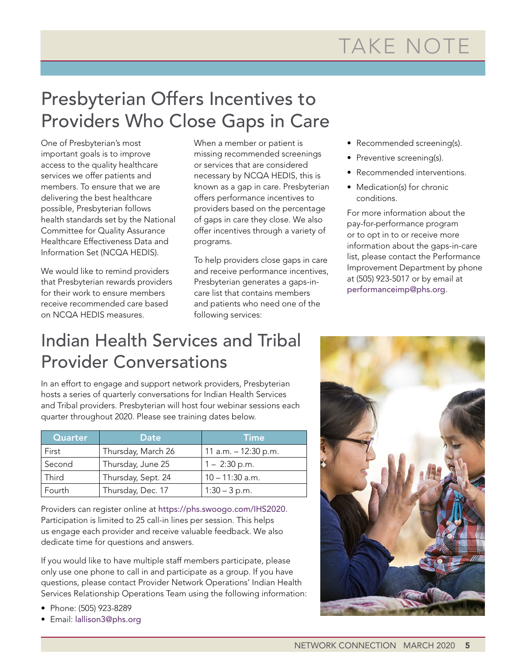# Presbyterian Offers Incentives to Providers Who Close Gaps in Care

One of Presbyterian's most important goals is to improve access to the quality healthcare services we offer patients and members. To ensure that we are delivering the best healthcare possible, Presbyterian follows health standards set by the National Committee for Quality Assurance Healthcare Effectiveness Data and Information Set (NCQA HEDIS).

We would like to remind providers that Presbyterian rewards providers for their work to ensure members receive recommended care based on NCQA HEDIS measures.

When a member or patient is missing recommended screenings or services that are considered necessary by NCQA HEDIS, this is known as a gap in care. Presbyterian offers performance incentives to providers based on the percentage of gaps in care they close. We also offer incentives through a variety of programs.

To help providers close gaps in care and receive performance incentives, Presbyterian generates a gaps-incare list that contains members and patients who need one of the following services:

- Recommended screening(s).
- Preventive screening(s).
- Recommended interventions.
- Medication(s) for chronic conditions.

For more information about the pay-for-performance program or to opt in to or receive more information about the gaps-in-care list, please contact the Performance Improvement Department by phone at (505) 923-5017 or by email at [performanceimp@phs.org](mailto:performanceimp@phs.org).

## Indian Health Services and Tribal Provider Conversations

In an effort to engage and support network providers, Presbyterian hosts a series of quarterly conversations for Indian Health Services and Tribal providers. Presbyterian will host four webinar sessions each quarter throughout 2020. Please see training dates below.

| Quarter | Date               | Time                 |
|---------|--------------------|----------------------|
| First   | Thursday, March 26 | 11 a.m. - 12:30 p.m. |
| Second  | Thursday, June 25  | $1 - 2:30$ p.m.      |
| Third   | Thursday, Sept. 24 | 10 - 11:30 a.m.      |
| Fourth  | Thursday, Dec. 17  | $1:30 - 3 p.m.$      |

Providers can register online at <https://phs.swoogo.com/IHS2020>. Participation is limited to 25 call-in lines per session. This helps us engage each provider and receive valuable feedback. We also dedicate time for questions and answers.

If you would like to have multiple staff members participate, please only use one phone to call in and participate as a group. If you have questions, please contact Provider Network Operations' Indian Health Services Relationship Operations Team using the following information:

- Phone: (505) 923-8289
- Email: [lallison3@phs.org](mailto:lallison3@phs.org)

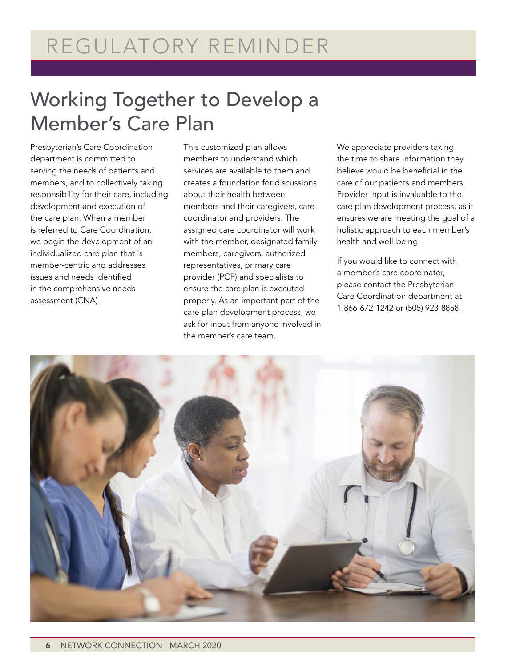# Working Together to Develop a Member's Care Plan

Presbyterian's Care Coordination department is committed to serving the needs of patients and members, and to collectively taking responsibility for their care, including development and execution of the care plan. When a member is referred to Care Coordination, we begin the development of an individualized care plan that is member-centric and addresses issues and needs identified in the comprehensive needs assessment (CNA).

This customized plan allows members to understand which services are available to them and creates a foundation for discussions about their health between members and their caregivers, care coordinator and providers. The assigned care coordinator will work with the member, designated family members, caregivers, authorized representatives, primary care provider (PCP) and specialists to ensure the care plan is executed properly. As an important part of the care plan development process, we ask for input from anyone involved in the member's care team.

We appreciate providers taking the time to share information they believe would be beneficial in the care of our patients and members. Provider input is invaluable to the care plan development process, as it ensures we are meeting the goal of a holistic approach to each member's health and well-being.

If you would like to connect with a member's care coordinator, please contact the Presbyterian Care Coordination department at 1-866-672-1242 or (505) 923-8858.

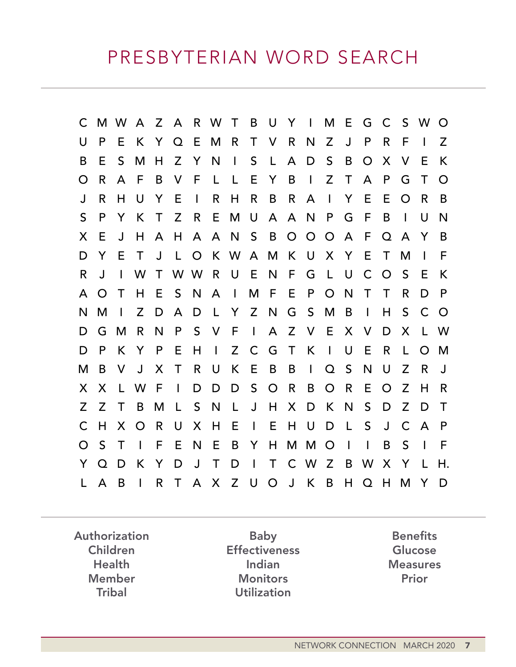C M W A Z A R W T B U Y I M E G C S W O U P E K Y Q E M R T V R N Z J P R F I Z B E S M H Z Y N I S L A D S B O X V E K O R A F B V F L L E Y B I Z T A P G T O J R H U Y E I R H R B R A I Y E E O R B S P Y K T Z R E M U A A N P G F B I U N X E J H A H A A N S B O O O A F Q A Y B D Y E T J L O K W A M K U X Y E T M I F R J I W T W W R U E N F G L U C O S E K A O T H E S N A I M F E P O N T T R D P N M I Z D A D L Y Z N G S M B I H S C O D G M R N P S V F I A Z V E X V D X L W D P K Y P E H I Z C G T K I U E R L O M M B V J X T R U K E B B I Q S N U Z R J X X L W F I D D D S O R B O R E O Z H R Z Z T B M L S N L J H X D K N S D Z D T C H X O R U X H E I E H U D L S J C A P O S T I F E N E B Y H M M O I I B S I F Y Q D K Y D J T D I T C W Z B W X Y L H. L A B I R T A X Z U O J K B H Q H M Y D

Authorization Children Health Member **Tribal** 

Baby **Effectiveness** Indian **Monitors Utilization** 

**Benefits** Glucose **Measures** Prior